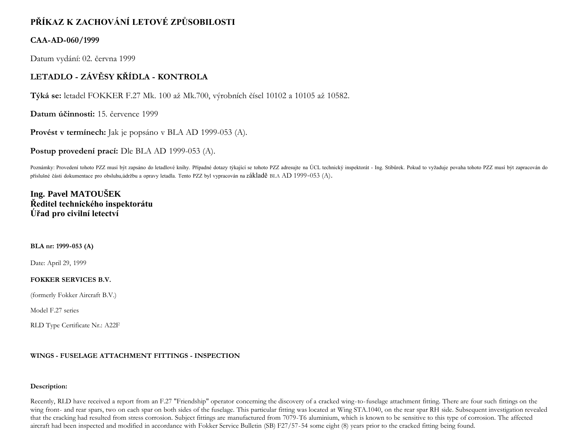# **PŘÍKAZ K ZACHOVÁNÍ LETOVÉ ZPŮSOBILOSTI**

### **CAA-AD-060/1999**

Datum vydání: 02. června 1999

## **LETADLO - ZÁVĚSY KŘÍDLA - KONTROLA**

**Týká se:** letadel FOKKER F.27 Mk. 100 až Mk.700, výrobních čísel 10102 a 10105 až 10582.

**Datum účinnosti:** 15. července 1999

**Provést v termínech:** Jak je popsáno v BLA AD 1999-053 (A).

**Postup provedení prací:** Dle BLA AD 1999-053 (A).

Poznámky: Provedení tohoto PZZ musí být zapsáno do letadlové knihy. Případné dotazy týkající se tohoto PZZ adresujte na ÚCL technický inspektorát - Ing. Stibůrek. Pokud to vyžaduje povaha tohoto PZZ musí být zapracován do příslušné části dokumentace pro obsluhu,údržbu a opravy letadla. Tento PZZ byl vypracován na základě BLA AD 1999-053 (A).

## **Ing. Pavel MATOUŠEK Ředitel technického inspektorátu Úřad pro civilní letectví**

#### **BLA nr: 1999-053 (A)**

Date: April 29, 1999

#### **FOKKER SERVICES B.V.**

(formerly Fokker Aircraft B.V.)

Model F.27 series

RLD Type Certificate Nr.: A22F

#### **WINGS - FUSELAGE ATTACHMENT FITTINGS - INSPECTION**

#### **Description:**

Recently, RLD have received a report from an F.27 "Friendship" operator concerning the discovery of a cracked wing-to-fuselage attachment fitting. There are four such fittings on the wing front- and rear spars, two on each spar on both sides of the fuselage. This particular fitting was located at Wing STA.1040, on the rear spar RH side. Subsequent investigation revealed that the cracking had resulted from stress corrosion. Subject fittings are manufactured from 7079-T6 aluminium, which is known to be sensitive to this type of corrosion. The affected aircraft had been inspected and modified in accordance with Fokker Service Bulletin (SB) F27/57-54 some eight (8) years prior to the cracked fitting being found.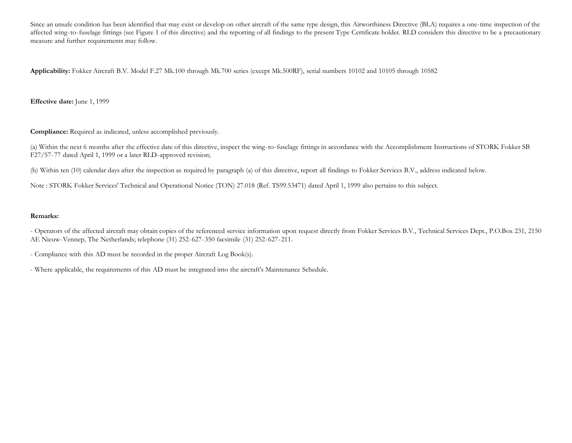Since an unsafe condition has been identified that may exist or develop on other aircraft of the same type design, this Airworthiness Directive (BLA) requires a one-time inspection of the affected wing-to-fuselage fittings (see Figure 1 of this directive) and the reporting of all findings to the present Type Certificate holder. RLD considers this directive to be a precautionary measure and further requirements may follow.

**Applicability:** Fokker Aircraft B.V. Model F.27 Mk.100 through Mk.700 series (except Mk.500RF), serial numbers 10102 and 10105 through 10582

**Effective date:** June 1, 1999

**Compliance:** Required as indicated, unless accomplished previously.

(a) Within the next 6 months after the effective date of this directive, inspect the wing-to-fuselage fittings in accordance with the Accomplishment Instructions of STORK Fokker SB F27/57-77 dated April 1, 1999 or a later RLD-approved revision;

(b) Within ten (10) calendar days after the inspection as required by paragraph (a) of this directive, report all findings to Fokker Services B.V., address indicated below.

Note : STORK Fokker Services' Technical and Operational Notice (TON) 27.018 (Ref. TS99.53471) dated April 1, 1999 also pertains to this subject.

#### **Remarks:**

- Operators of the affected aircraft may obtain copies of the referenced service information upon request directly from Fokker Services B.V., Technical Services Dept., P.O.Box 231, 2150 AE Nieuw-Vennep, The Netherlands; telephone (31) 252-627-350 facsimile (31) 252-627-211.

- Compliance with this AD must be recorded in the proper Aircraft Log Book(s).

- Where applicable, the requirements of this AD must be integrated into the aircraft's Maintenance Schedule.